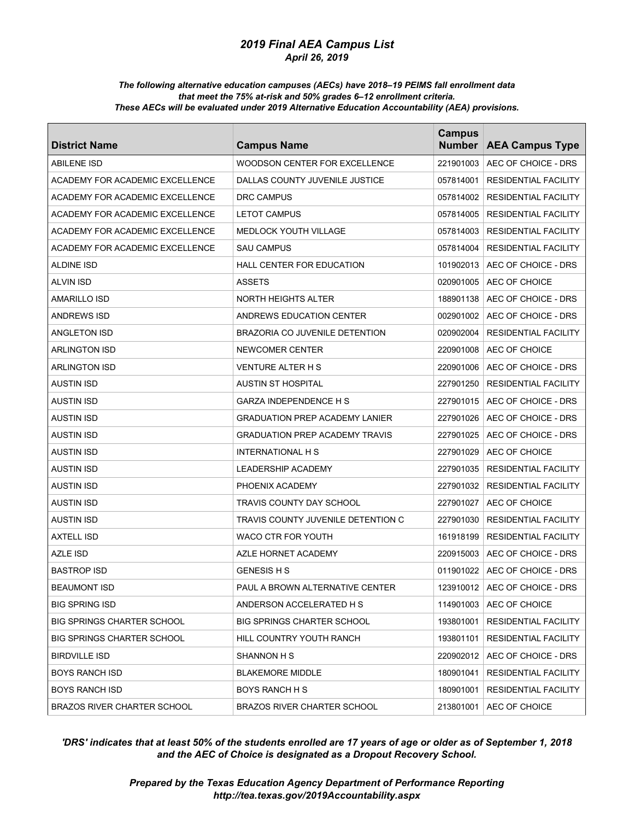#### *The following alternative education campuses (AECs) have 2018–19 PEIMS fall enrollment data that meet the 75% at-risk and 50% grades 6–12 enrollment criteria. These AECs will be evaluated under 2019 Alternative Education Accountability (AEA) provisions.*

| <b>District Name</b>               | <b>Campus Name</b>                    | <b>Campus</b><br><b>Number</b> | <b>AEA Campus Type</b>          |
|------------------------------------|---------------------------------------|--------------------------------|---------------------------------|
| <b>ABILENE ISD</b>                 | WOODSON CENTER FOR EXCELLENCE         | 221901003                      | AEC OF CHOICE - DRS             |
| ACADEMY FOR ACADEMIC EXCELLENCE    | DALLAS COUNTY JUVENILE JUSTICE        | 057814001                      | <b>RESIDENTIAL FACILITY</b>     |
| ACADEMY FOR ACADEMIC EXCELLENCE    | <b>DRC CAMPUS</b>                     | 057814002                      | <b>RESIDENTIAL FACILITY</b>     |
| ACADEMY FOR ACADEMIC EXCELLENCE    | <b>LETOT CAMPUS</b>                   | 057814005                      | <b>RESIDENTIAL FACILITY</b>     |
| ACADEMY FOR ACADEMIC EXCELLENCE    | <b>MEDLOCK YOUTH VILLAGE</b>          | 057814003                      | <b>RESIDENTIAL FACILITY</b>     |
| ACADEMY FOR ACADEMIC EXCELLENCE    | <b>SAU CAMPUS</b>                     | 057814004                      | <b>RESIDENTIAL FACILITY</b>     |
| <b>ALDINE ISD</b>                  | <b>HALL CENTER FOR EDUCATION</b>      | 101902013                      | AEC OF CHOICE - DRS             |
| <b>ALVIN ISD</b>                   | <b>ASSETS</b>                         | 020901005                      | AEC OF CHOICE                   |
| <b>AMARILLO ISD</b>                | <b>NORTH HEIGHTS ALTER</b>            | 188901138                      | AEC OF CHOICE - DRS             |
| <b>ANDREWS ISD</b>                 | ANDREWS EDUCATION CENTER              | 002901002                      | AEC OF CHOICE - DRS             |
| ANGLETON ISD                       | BRAZORIA CO JUVENILE DETENTION        | 020902004                      | <b>RESIDENTIAL FACILITY</b>     |
| <b>ARLINGTON ISD</b>               | NEWCOMER CENTER                       | 220901008                      | AEC OF CHOICE                   |
| <b>ARLINGTON ISD</b>               | <b>VENTURE ALTER H S</b>              | 220901006                      | AEC OF CHOICE - DRS             |
| <b>AUSTIN ISD</b>                  | <b>AUSTIN ST HOSPITAL</b>             | 227901250                      | <b>RESIDENTIAL FACILITY</b>     |
| <b>AUSTIN ISD</b>                  | <b>GARZA INDEPENDENCE H S</b>         | 227901015                      | AEC OF CHOICE - DRS             |
| <b>AUSTIN ISD</b>                  | <b>GRADUATION PREP ACADEMY LANIER</b> | 227901026                      | AEC OF CHOICE - DRS             |
| <b>AUSTIN ISD</b>                  | <b>GRADUATION PREP ACADEMY TRAVIS</b> | 227901025                      | AEC OF CHOICE - DRS             |
| <b>AUSTIN ISD</b>                  | <b>INTERNATIONAL H S</b>              | 227901029                      | AEC OF CHOICE                   |
| <b>AUSTIN ISD</b>                  | <b>LEADERSHIP ACADEMY</b>             | 227901035                      | <b>RESIDENTIAL FACILITY</b>     |
| <b>AUSTIN ISD</b>                  | PHOENIX ACADEMY                       | 227901032                      | <b>RESIDENTIAL FACILITY</b>     |
| <b>AUSTIN ISD</b>                  | TRAVIS COUNTY DAY SCHOOL              | 227901027                      | AEC OF CHOICE                   |
| <b>AUSTIN ISD</b>                  | TRAVIS COUNTY JUVENILE DETENTION C    | 227901030                      | <b>RESIDENTIAL FACILITY</b>     |
| <b>AXTELL ISD</b>                  | WACO CTR FOR YOUTH                    | 161918199                      | <b>RESIDENTIAL FACILITY</b>     |
| <b>AZLE ISD</b>                    | AZLE HORNET ACADEMY                   | 220915003                      | AEC OF CHOICE - DRS             |
| <b>BASTROP ISD</b>                 | <b>GENESIS H S</b>                    | 011901022                      | AEC OF CHOICE - DRS             |
| <b>BEAUMONT ISD</b>                | PAUL A BROWN ALTERNATIVE CENTER       |                                | 123910012   AEC OF CHOICE - DRS |
| <b>BIG SPRING ISD</b>              | ANDERSON ACCELERATED H S              | 114901003                      | AEC OF CHOICE                   |
| <b>BIG SPRINGS CHARTER SCHOOL</b>  | <b>BIG SPRINGS CHARTER SCHOOL</b>     | 193801001                      | RESIDENTIAL FACILITY            |
| <b>BIG SPRINGS CHARTER SCHOOL</b>  | HILL COUNTRY YOUTH RANCH              | 193801101                      | <b>RESIDENTIAL FACILITY</b>     |
| BIRDVILLE ISD                      | SHANNON H S                           | 220902012                      | AEC OF CHOICE - DRS             |
| <b>BOYS RANCH ISD</b>              | <b>BLAKEMORE MIDDLE</b>               | 180901041                      | RESIDENTIAL FACILITY            |
| <b>BOYS RANCH ISD</b>              | BOYS RANCH H S                        | 180901001                      | <b>RESIDENTIAL FACILITY</b>     |
| <b>BRAZOS RIVER CHARTER SCHOOL</b> | <b>BRAZOS RIVER CHARTER SCHOOL</b>    | 213801001                      | AEC OF CHOICE                   |

# *'DRS' indicates that at least 50% of the students enrolled are 17 years of age or older as of September 1, 2018 and the AEC of Choice is designated as a Dropout Recovery School.*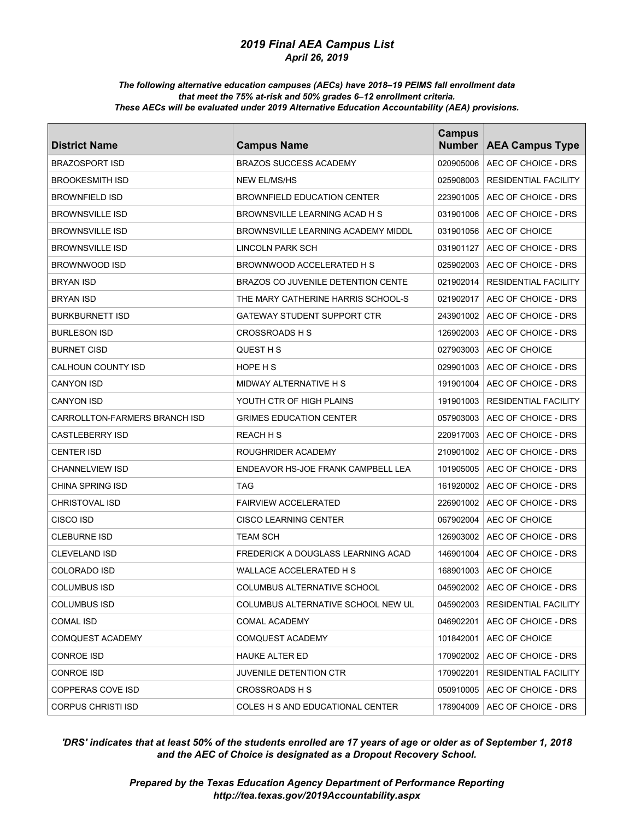#### *The following alternative education campuses (AECs) have 2018–19 PEIMS fall enrollment data that meet the 75% at-risk and 50% grades 6–12 enrollment criteria. These AECs will be evaluated under 2019 Alternative Education Accountability (AEA) provisions.*

| <b>District Name</b>          | <b>Campus Name</b>                        | <b>Campus</b><br><b>Number</b> | <b>AEA Campus Type</b>           |
|-------------------------------|-------------------------------------------|--------------------------------|----------------------------------|
| <b>BRAZOSPORT ISD</b>         | <b>BRAZOS SUCCESS ACADEMY</b>             | 020905006                      | AEC OF CHOICE - DRS              |
| <b>BROOKESMITH ISD</b>        | <b>NEW EL/MS/HS</b>                       | 025908003                      | <b>RESIDENTIAL FACILITY</b>      |
| <b>BROWNFIELD ISD</b>         | <b>BROWNFIELD EDUCATION CENTER</b>        | 223901005                      | AEC OF CHOICE - DRS              |
| <b>BROWNSVILLE ISD</b>        | BROWNSVILLE LEARNING ACAD H S             | 031901006                      | AEC OF CHOICE - DRS              |
| <b>BROWNSVILLE ISD</b>        | BROWNSVILLE LEARNING ACADEMY MIDDL        | 031901056                      | AEC OF CHOICE                    |
| <b>BROWNSVILLE ISD</b>        | LINCOLN PARK SCH                          | 031901127                      | AEC OF CHOICE - DRS              |
| BROWNWOOD ISD                 | BROWNWOOD ACCELERATED H S                 | 025902003                      | AEC OF CHOICE - DRS              |
| <b>BRYAN ISD</b>              | <b>BRAZOS CO JUVENILE DETENTION CENTE</b> | 021902014                      | <b>RESIDENTIAL FACILITY</b>      |
| <b>BRYAN ISD</b>              | THE MARY CATHERINE HARRIS SCHOOL-S        | 021902017                      | AEC OF CHOICE - DRS              |
| <b>BURKBURNETT ISD</b>        | GATEWAY STUDENT SUPPORT CTR               | 243901002                      | AEC OF CHOICE - DRS              |
| <b>BURLESON ISD</b>           | CROSSROADS H S                            | 126902003                      | AEC OF CHOICE - DRS              |
| <b>BURNET CISD</b>            | QUEST H S                                 | 027903003                      | AEC OF CHOICE                    |
| CALHOUN COUNTY ISD            | HOPE H S                                  | 029901003                      | AEC OF CHOICE - DRS              |
| <b>CANYON ISD</b>             | MIDWAY ALTERNATIVE H S                    | 191901004                      | AEC OF CHOICE - DRS              |
| CANYON ISD                    | YOUTH CTR OF HIGH PLAINS                  | 191901003                      | <b>RESIDENTIAL FACILITY</b>      |
| CARROLLTON-FARMERS BRANCH ISD | <b>GRIMES EDUCATION CENTER</b>            | 057903003                      | AEC OF CHOICE - DRS              |
| <b>CASTLEBERRY ISD</b>        | REACH H S                                 | 220917003                      | AEC OF CHOICE - DRS              |
| <b>CENTER ISD</b>             | ROUGHRIDER ACADEMY                        | 210901002                      | AEC OF CHOICE - DRS              |
| CHANNELVIEW ISD               | ENDEAVOR HS-JOE FRANK CAMPBELL LEA        | 101905005                      | AEC OF CHOICE - DRS              |
| CHINA SPRING ISD              | TAG                                       | 161920002                      | AEC OF CHOICE - DRS              |
| <b>CHRISTOVAL ISD</b>         | <b>FAIRVIEW ACCELERATED</b>               | 226901002                      | AEC OF CHOICE - DRS              |
| CISCO ISD                     | <b>CISCO LEARNING CENTER</b>              | 067902004                      | AEC OF CHOICE                    |
| CLEBURNE ISD                  | TEAM SCH                                  | 126903002                      | AEC OF CHOICE - DRS              |
| <b>CLEVELAND ISD</b>          | FREDERICK A DOUGLASS LEARNING ACAD        | 146901004                      | AEC OF CHOICE - DRS              |
| <b>COLORADO ISD</b>           | WALLACE ACCELERATED H S                   | 168901003                      | AEC OF CHOICE                    |
| <b>COLUMBUS ISD</b>           | COLUMBUS ALTERNATIVE SCHOOL               |                                | 045902002   AEC OF CHOICE - DRS  |
| <b>COLUMBUS ISD</b>           | COLUMBUS ALTERNATIVE SCHOOL NEW UL        |                                | 045902003   RESIDENTIAL FACILITY |
| COMAL ISD                     | COMAL ACADEMY                             | 046902201                      | AEC OF CHOICE - DRS              |
| <b>COMQUEST ACADEMY</b>       | COMQUEST ACADEMY                          | 101842001                      | AEC OF CHOICE                    |
| <b>CONROE ISD</b>             | HAUKE ALTER ED                            | 170902002                      | AEC OF CHOICE - DRS              |
| CONROE ISD                    | JUVENILE DETENTION CTR                    | 170902201                      | RESIDENTIAL FACILITY             |
| COPPERAS COVE ISD             | <b>CROSSROADS H S</b>                     | 050910005                      | AEC OF CHOICE - DRS              |
| <b>CORPUS CHRISTI ISD</b>     | COLES H S AND EDUCATIONAL CENTER          | 178904009                      | AEC OF CHOICE - DRS              |

# *'DRS' indicates that at least 50% of the students enrolled are 17 years of age or older as of September 1, 2018 and the AEC of Choice is designated as a Dropout Recovery School.*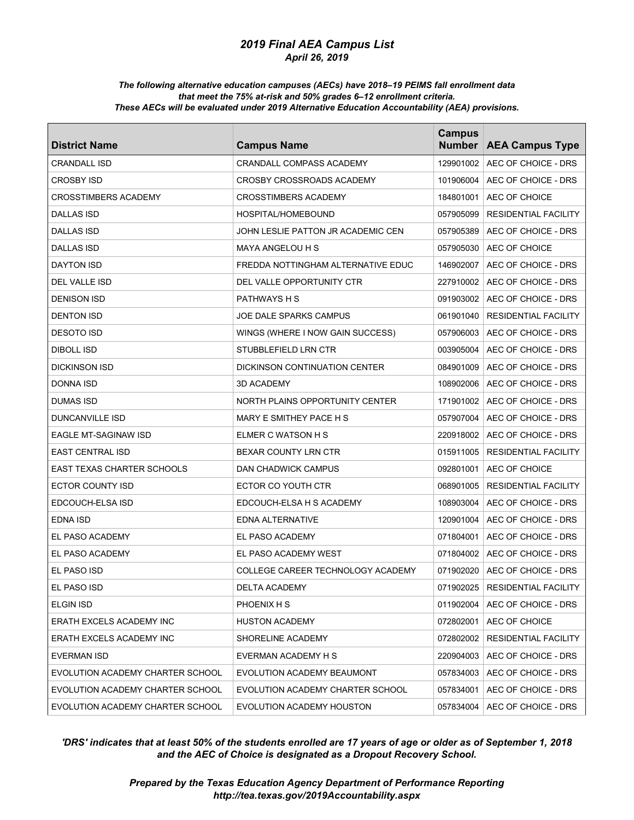#### *The following alternative education campuses (AECs) have 2018–19 PEIMS fall enrollment data that meet the 75% at-risk and 50% grades 6–12 enrollment criteria. These AECs will be evaluated under 2019 Alternative Education Accountability (AEA) provisions.*

| <b>District Name</b>              | <b>Campus Name</b>                 | <b>Campus</b><br><b>Number</b> | <b>AEA Campus Type</b>           |
|-----------------------------------|------------------------------------|--------------------------------|----------------------------------|
| <b>CRANDALL ISD</b>               | <b>CRANDALL COMPASS ACADEMY</b>    | 129901002                      | AEC OF CHOICE - DRS              |
| <b>CROSBY ISD</b>                 | CROSBY CROSSROADS ACADEMY          | 101906004                      | AEC OF CHOICE - DRS              |
| <b>CROSSTIMBERS ACADEMY</b>       | <b>CROSSTIMBERS ACADEMY</b>        | 184801001                      | AEC OF CHOICE                    |
| <b>DALLAS ISD</b>                 | HOSPITAL/HOMEBOUND                 | 057905099                      | <b>RESIDENTIAL FACILITY</b>      |
| DALLAS ISD                        | JOHN LESLIE PATTON JR ACADEMIC CEN | 057905389                      | AEC OF CHOICE - DRS              |
| <b>DALLAS ISD</b>                 | MAYA ANGELOU H S                   | 057905030                      | AEC OF CHOICE                    |
| <b>DAYTON ISD</b>                 | FREDDA NOTTINGHAM ALTERNATIVE EDUC | 146902007                      | AEC OF CHOICE - DRS              |
| DEL VALLE ISD                     | DEL VALLE OPPORTUNITY CTR          | 227910002                      | AEC OF CHOICE - DRS              |
| <b>DENISON ISD</b>                | <b>PATHWAYS H S</b>                | 091903002                      | AEC OF CHOICE - DRS              |
| <b>DENTON ISD</b>                 | JOE DALE SPARKS CAMPUS             | 061901040                      | <b>RESIDENTIAL FACILITY</b>      |
| DESOTO ISD                        | WINGS (WHERE I NOW GAIN SUCCESS)   | 057906003                      | AEC OF CHOICE - DRS              |
| DIBOLL ISD                        | STUBBLEFIELD LRN CTR               | 003905004                      | AEC OF CHOICE - DRS              |
| <b>DICKINSON ISD</b>              | DICKINSON CONTINUATION CENTER      | 084901009                      | AEC OF CHOICE - DRS              |
| DONNA ISD                         | 3D ACADEMY                         | 108902006                      | AEC OF CHOICE - DRS              |
| DUMAS ISD                         | NORTH PLAINS OPPORTUNITY CENTER    | 171901002                      | AEC OF CHOICE - DRS              |
| DUNCANVILLE ISD                   | MARY E SMITHEY PACE H S            | 057907004                      | AEC OF CHOICE - DRS              |
| EAGLE MT-SAGINAW ISD              | ELMER C WATSON H S                 | 220918002                      | AEC OF CHOICE - DRS              |
| <b>EAST CENTRAL ISD</b>           | <b>BEXAR COUNTY LRN CTR</b>        | 015911005                      | <b>RESIDENTIAL FACILITY</b>      |
| <b>EAST TEXAS CHARTER SCHOOLS</b> | DAN CHADWICK CAMPUS                | 092801001                      | AEC OF CHOICE                    |
| ECTOR COUNTY ISD                  | ECTOR CO YOUTH CTR                 | 068901005                      | <b>RESIDENTIAL FACILITY</b>      |
| EDCOUCH-ELSA ISD                  | EDCOUCH-ELSA H S ACADEMY           | 108903004                      | AEC OF CHOICE - DRS              |
| EDNA ISD                          | EDNA ALTERNATIVE                   | 120901004                      | AEC OF CHOICE - DRS              |
| EL PASO ACADEMY                   | EL PASO ACADEMY                    | 071804001                      | AEC OF CHOICE - DRS              |
| EL PASO ACADEMY                   | EL PASO ACADEMY WEST               | 071804002                      | AEC OF CHOICE - DRS              |
| EL PASO ISD                       | COLLEGE CAREER TECHNOLOGY ACADEMY  | 071902020                      | AEC OF CHOICE - DRS              |
| EL PASO ISD                       | DELTA ACADEMY                      |                                | 071902025   RESIDENTIAL FACILITY |
| ELGIN ISD                         | PHOENIX H S                        |                                | 011902004   AEC OF CHOICE - DRS  |
| ERATH EXCELS ACADEMY INC          | <b>HUSTON ACADEMY</b>              |                                | 072802001   AEC OF CHOICE        |
| ERATH EXCELS ACADEMY INC          | SHORELINE ACADEMY                  | 072802002                      | RESIDENTIAL FACILITY             |
| EVERMAN ISD                       | EVERMAN ACADEMY H S                | 220904003                      | AEC OF CHOICE - DRS              |
| EVOLUTION ACADEMY CHARTER SCHOOL  | EVOLUTION ACADEMY BEAUMONT         | 057834003                      | AEC OF CHOICE - DRS              |
| EVOLUTION ACADEMY CHARTER SCHOOL  | EVOLUTION ACADEMY CHARTER SCHOOL   | 057834001                      | AEC OF CHOICE - DRS              |
| EVOLUTION ACADEMY CHARTER SCHOOL  | EVOLUTION ACADEMY HOUSTON          | 057834004                      | AEC OF CHOICE - DRS              |

# *'DRS' indicates that at least 50% of the students enrolled are 17 years of age or older as of September 1, 2018 and the AEC of Choice is designated as a Dropout Recovery School.*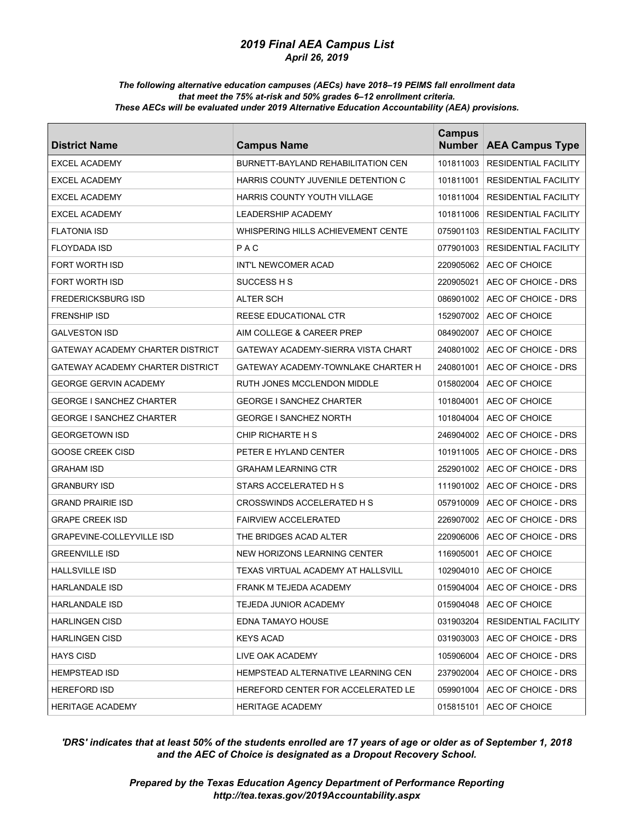#### *The following alternative education campuses (AECs) have 2018–19 PEIMS fall enrollment data that meet the 75% at-risk and 50% grades 6–12 enrollment criteria. These AECs will be evaluated under 2019 Alternative Education Accountability (AEA) provisions.*

| <b>District Name</b>             | <b>Campus Name</b>                        | <b>Campus</b><br><b>Number</b> | <b>AEA Campus Type</b>      |
|----------------------------------|-------------------------------------------|--------------------------------|-----------------------------|
| <b>EXCEL ACADEMY</b>             | <b>BURNETT-BAYLAND REHABILITATION CEN</b> | 101811003                      | <b>RESIDENTIAL FACILITY</b> |
| <b>EXCEL ACADEMY</b>             | HARRIS COUNTY JUVENILE DETENTION C        | 101811001                      | <b>RESIDENTIAL FACILITY</b> |
| <b>EXCEL ACADEMY</b>             | HARRIS COUNTY YOUTH VILLAGE               | 101811004                      | <b>RESIDENTIAL FACILITY</b> |
| <b>EXCEL ACADEMY</b>             | <b>LEADERSHIP ACADEMY</b>                 | 101811006                      | <b>RESIDENTIAL FACILITY</b> |
| <b>FLATONIA ISD</b>              | WHISPERING HILLS ACHIEVEMENT CENTE        | 075901103                      | <b>RESIDENTIAL FACILITY</b> |
| <b>FLOYDADA ISD</b>              | PAC                                       | 077901003                      | <b>RESIDENTIAL FACILITY</b> |
| <b>FORT WORTH ISD</b>            | INT'L NEWCOMER ACAD                       | 220905062                      | AEC OF CHOICE               |
| <b>FORT WORTH ISD</b>            | SUCCESS H S                               | 220905021                      | AEC OF CHOICE - DRS         |
| <b>FREDERICKSBURG ISD</b>        | ALTER SCH                                 | 086901002                      | AEC OF CHOICE - DRS         |
| <b>FRENSHIP ISD</b>              | REESE EDUCATIONAL CTR                     | 152907002                      | AEC OF CHOICE               |
| GALVESTON ISD                    | AIM COLLEGE & CAREER PREP                 | 084902007                      | AEC OF CHOICE               |
| GATEWAY ACADEMY CHARTER DISTRICT | GATEWAY ACADEMY-SIERRA VISTA CHART        | 240801002                      | AEC OF CHOICE - DRS         |
| GATEWAY ACADEMY CHARTER DISTRICT | GATEWAY ACADEMY-TOWNLAKE CHARTER H        | 240801001                      | AEC OF CHOICE - DRS         |
| GEORGE GERVIN ACADEMY            | RUTH JONES MCCLENDON MIDDLE               | 015802004                      | AEC OF CHOICE               |
| GEORGE I SANCHEZ CHARTER         | <b>GEORGE I SANCHEZ CHARTER</b>           | 101804001                      | AEC OF CHOICE               |
| <b>GEORGE I SANCHEZ CHARTER</b>  | <b>GEORGE I SANCHEZ NORTH</b>             | 101804004                      | AEC OF CHOICE               |
| <b>GEORGETOWN ISD</b>            | CHIP RICHARTE H S                         | 246904002                      | AEC OF CHOICE - DRS         |
| <b>GOOSE CREEK CISD</b>          | PETER E HYLAND CENTER                     | 101911005                      | AEC OF CHOICE - DRS         |
| GRAHAM ISD                       | <b>GRAHAM LEARNING CTR</b>                | 252901002                      | AEC OF CHOICE - DRS         |
| <b>GRANBURY ISD</b>              | STARS ACCELERATED H S                     | 111901002                      | AEC OF CHOICE - DRS         |
| <b>GRAND PRAIRIE ISD</b>         | CROSSWINDS ACCELERATED H S                | 057910009                      | AEC OF CHOICE - DRS         |
| <b>GRAPE CREEK ISD</b>           | <b>FAIRVIEW ACCELERATED</b>               | 226907002                      | AEC OF CHOICE - DRS         |
| GRAPEVINE-COLLEYVILLE ISD        | THE BRIDGES ACAD ALTER                    | 220906006                      | AEC OF CHOICE - DRS         |
| <b>GREENVILLE ISD</b>            | NEW HORIZONS LEARNING CENTER              | 116905001                      | AEC OF CHOICE               |
| <b>HALLSVILLE ISD</b>            | TEXAS VIRTUAL ACADEMY AT HALLSVILL        | 102904010                      | AEC OF CHOICE               |
| HARLANDALE ISD                   | FRANK M TEJEDA ACADEMY                    | 015904004                      | AEC OF CHOICE - DRS         |
| HARLANDALE ISD                   | TEJEDA JUNIOR ACADEMY                     |                                | 015904048   AEC OF CHOICE   |
| <b>HARLINGEN CISD</b>            | EDNA TAMAYO HOUSE                         | 031903204                      | RESIDENTIAL FACILITY        |
| <b>HARLINGEN CISD</b>            | KEYS ACAD                                 | 031903003                      | AEC OF CHOICE - DRS         |
| <b>HAYS CISD</b>                 | LIVE OAK ACADEMY                          | 105906004                      | AEC OF CHOICE - DRS         |
| <b>HEMPSTEAD ISD</b>             | HEMPSTEAD ALTERNATIVE LEARNING CEN        | 237902004                      | AEC OF CHOICE - DRS         |
| <b>HEREFORD ISD</b>              | HEREFORD CENTER FOR ACCELERATED LE        | 059901004                      | AEC OF CHOICE - DRS         |
| <b>HERITAGE ACADEMY</b>          | <b>HERITAGE ACADEMY</b>                   | 015815101                      | AEC OF CHOICE               |

# *'DRS' indicates that at least 50% of the students enrolled are 17 years of age or older as of September 1, 2018 and the AEC of Choice is designated as a Dropout Recovery School.*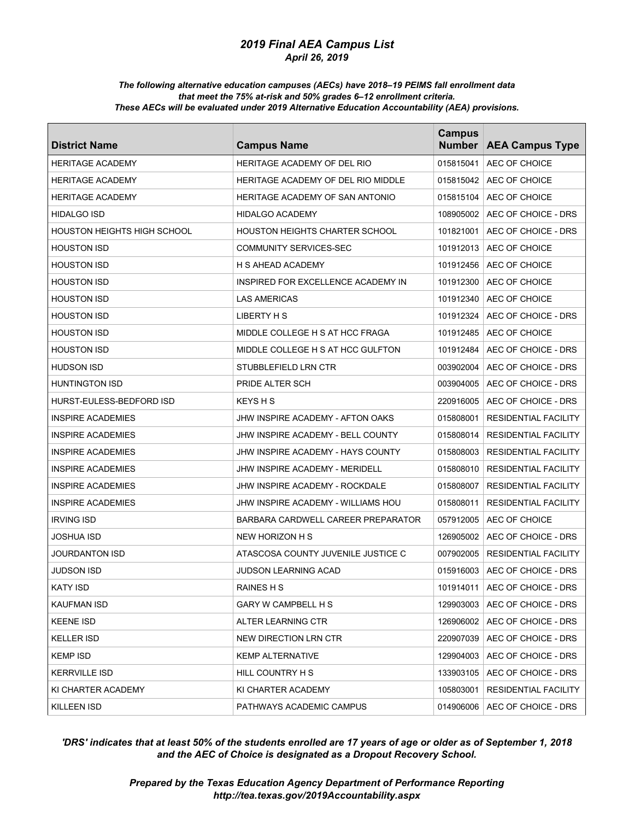#### *The following alternative education campuses (AECs) have 2018–19 PEIMS fall enrollment data that meet the 75% at-risk and 50% grades 6–12 enrollment criteria. These AECs will be evaluated under 2019 Alternative Education Accountability (AEA) provisions.*

| <b>District Name</b>               | <b>Campus Name</b>                    | <b>Campus</b><br><b>Number</b> | <b>AEA Campus Type</b>          |
|------------------------------------|---------------------------------------|--------------------------------|---------------------------------|
| <b>HERITAGE ACADEMY</b>            | <b>HERITAGE ACADEMY OF DEL RIO</b>    | 015815041                      | AEC OF CHOICE                   |
| <b>HERITAGE ACADEMY</b>            | HERITAGE ACADEMY OF DEL RIO MIDDLE    | 015815042                      | AEC OF CHOICE                   |
| <b>HERITAGE ACADEMY</b>            | HERITAGE ACADEMY OF SAN ANTONIO       | 015815104                      | AEC OF CHOICE                   |
| <b>HIDALGO ISD</b>                 | <b>HIDALGO ACADEMY</b>                | 108905002                      | AEC OF CHOICE - DRS             |
| <b>HOUSTON HEIGHTS HIGH SCHOOL</b> | <b>HOUSTON HEIGHTS CHARTER SCHOOL</b> | 101821001                      | AEC OF CHOICE - DRS             |
| <b>HOUSTON ISD</b>                 | <b>COMMUNITY SERVICES-SEC</b>         | 101912013                      | AEC OF CHOICE                   |
| <b>HOUSTON ISD</b>                 | H S AHEAD ACADEMY                     | 101912456                      | AEC OF CHOICE                   |
| <b>HOUSTON ISD</b>                 | INSPIRED FOR EXCELLENCE ACADEMY IN    | 101912300                      | AEC OF CHOICE                   |
| <b>HOUSTON ISD</b>                 | <b>LAS AMERICAS</b>                   | 101912340                      | AEC OF CHOICE                   |
| <b>HOUSTON ISD</b>                 | LIBERTY H S                           | 101912324                      | AEC OF CHOICE - DRS             |
| <b>HOUSTON ISD</b>                 | MIDDLE COLLEGE H S AT HCC FRAGA       | 101912485                      | AEC OF CHOICE                   |
| <b>HOUSTON ISD</b>                 | MIDDLE COLLEGE H S AT HCC GULFTON     | 101912484                      | AEC OF CHOICE - DRS             |
| <b>HUDSON ISD</b>                  | STUBBLEFIELD LRN CTR                  | 003902004                      | AEC OF CHOICE - DRS             |
| <b>HUNTINGTON ISD</b>              | PRIDE ALTER SCH                       | 003904005                      | AEC OF CHOICE - DRS             |
| HURST-EULESS-BEDFORD ISD           | KEYS H S                              | 220916005                      | AEC OF CHOICE - DRS             |
| <b>INSPIRE ACADEMIES</b>           | JHW INSPIRE ACADEMY - AFTON OAKS      | 015808001                      | <b>RESIDENTIAL FACILITY</b>     |
| <b>INSPIRE ACADEMIES</b>           | JHW INSPIRE ACADEMY - BELL COUNTY     | 015808014                      | <b>RESIDENTIAL FACILITY</b>     |
| <b>INSPIRE ACADEMIES</b>           | JHW INSPIRE ACADEMY - HAYS COUNTY     | 015808003                      | <b>RESIDENTIAL FACILITY</b>     |
| <b>INSPIRE ACADEMIES</b>           | JHW INSPIRE ACADEMY - MERIDELL        | 015808010                      | <b>RESIDENTIAL FACILITY</b>     |
| <b>INSPIRE ACADEMIES</b>           | JHW INSPIRE ACADEMY - ROCKDALE        | 015808007                      | <b>RESIDENTIAL FACILITY</b>     |
| <b>INSPIRE ACADEMIES</b>           | JHW INSPIRE ACADEMY - WILLIAMS HOU    | 015808011                      | <b>RESIDENTIAL FACILITY</b>     |
| <b>IRVING ISD</b>                  | BARBARA CARDWELL CAREER PREPARATOR    | 057912005                      | AEC OF CHOICE                   |
| JOSHUA ISD                         | NEW HORIZON H S                       | 126905002                      | AEC OF CHOICE - DRS             |
| JOURDANTON ISD                     | ATASCOSA COUNTY JUVENILE JUSTICE C    | 007902005                      | <b>RESIDENTIAL FACILITY</b>     |
| JUDSON ISD                         | JUDSON LEARNING ACAD                  | 015916003                      | AEC OF CHOICE - DRS             |
| <b>KATY ISD</b>                    | RAINES H S                            |                                | 101914011   AEC OF CHOICE - DRS |
| KAUFMAN ISD                        | GARY W CAMPBELL H S                   |                                | 129903003   AEC OF CHOICE - DRS |
| <b>KEENE ISD</b>                   | ALTER LEARNING CTR                    | 126906002                      | AEC OF CHOICE - DRS             |
| <b>KELLER ISD</b>                  | NEW DIRECTION LRN CTR                 | 220907039                      | AEC OF CHOICE - DRS             |
| <b>KEMP ISD</b>                    | <b>KEMP ALTERNATIVE</b>               | 129904003                      | AEC OF CHOICE - DRS             |
| <b>KERRVILLE ISD</b>               | HILL COUNTRY H S                      |                                | 133903105   AEC OF CHOICE - DRS |
| KI CHARTER ACADEMY                 | KI CHARTER ACADEMY                    | 105803001                      | RESIDENTIAL FACILITY            |
| KILLEEN ISD                        | PATHWAYS ACADEMIC CAMPUS              | 014906006                      | AEC OF CHOICE - DRS             |

# *'DRS' indicates that at least 50% of the students enrolled are 17 years of age or older as of September 1, 2018 and the AEC of Choice is designated as a Dropout Recovery School.*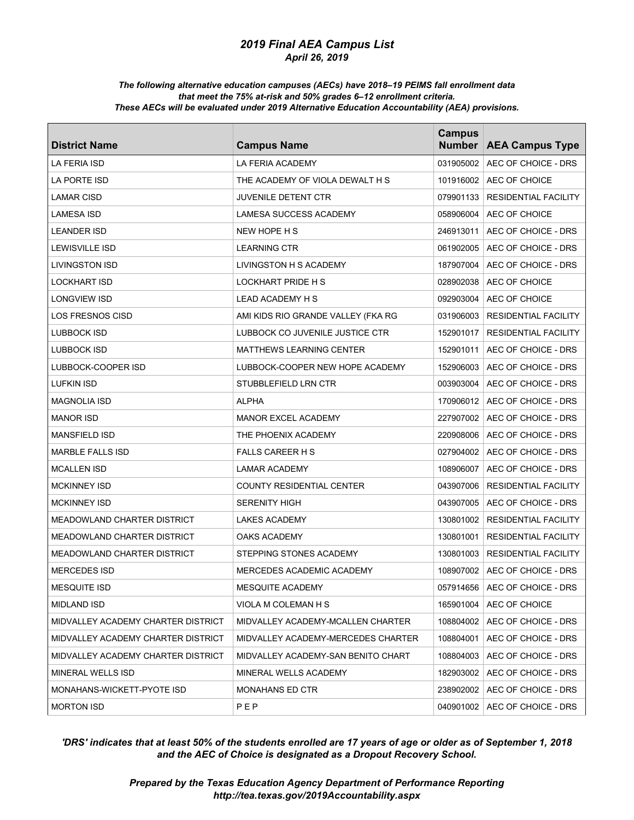#### *The following alternative education campuses (AECs) have 2018–19 PEIMS fall enrollment data that meet the 75% at-risk and 50% grades 6–12 enrollment criteria. These AECs will be evaluated under 2019 Alternative Education Accountability (AEA) provisions.*

| <b>District Name</b>               | <b>Campus Name</b>                 | <b>Campus</b><br><b>Number</b> | <b>AEA Campus Type</b>          |
|------------------------------------|------------------------------------|--------------------------------|---------------------------------|
| <b>LA FERIA ISD</b>                | <b>LA FERIA ACADEMY</b>            | 031905002                      | AEC OF CHOICE - DRS             |
| LA PORTE ISD                       | THE ACADEMY OF VIOLA DEWALT H S    | 101916002                      | AEC OF CHOICE                   |
| <b>LAMAR CISD</b>                  | <b>JUVENILE DETENT CTR</b>         | 079901133                      | <b>RESIDENTIAL FACILITY</b>     |
| LAMESA ISD                         | LAMESA SUCCESS ACADEMY             | 058906004                      | AEC OF CHOICE                   |
| <b>LEANDER ISD</b>                 | NEW HOPE H S                       | 246913011                      | AEC OF CHOICE - DRS             |
| LEWISVILLE ISD                     | <b>LEARNING CTR</b>                | 061902005                      | AEC OF CHOICE - DRS             |
| LIVINGSTON ISD                     | LIVINGSTON H S ACADEMY             | 187907004                      | AEC OF CHOICE - DRS             |
| LOCKHART ISD                       | LOCKHART PRIDE H S                 | 028902038                      | AEC OF CHOICE                   |
| LONGVIEW ISD                       | LEAD ACADEMY H S                   | 092903004                      | AEC OF CHOICE                   |
| LOS FRESNOS CISD                   | AMI KIDS RIO GRANDE VALLEY (FKA RG | 031906003                      | <b>RESIDENTIAL FACILITY</b>     |
| LUBBOCK ISD                        | LUBBOCK CO JUVENILE JUSTICE CTR    | 152901017                      | <b>RESIDENTIAL FACILITY</b>     |
| LUBBOCK ISD                        | MATTHEWS LEARNING CENTER           | 152901011                      | AEC OF CHOICE - DRS             |
| LUBBOCK-COOPER ISD                 | LUBBOCK-COOPER NEW HOPE ACADEMY    | 152906003                      | AEC OF CHOICE - DRS             |
| LUFKIN ISD                         | STUBBLEFIELD LRN CTR               | 003903004                      | AEC OF CHOICE - DRS             |
| MAGNOLIA ISD                       | ALPHA                              | 170906012                      | AEC OF CHOICE - DRS             |
| <b>MANOR ISD</b>                   | <b>MANOR EXCEL ACADEMY</b>         | 227907002                      | AEC OF CHOICE - DRS             |
| <b>MANSFIELD ISD</b>               | THE PHOENIX ACADEMY                | 220908006                      | AEC OF CHOICE - DRS             |
| <b>MARBLE FALLS ISD</b>            | <b>FALLS CAREER H S</b>            | 027904002                      | AEC OF CHOICE - DRS             |
| <b>MCALLEN ISD</b>                 | <b>LAMAR ACADEMY</b>               | 108906007                      | AEC OF CHOICE - DRS             |
| <b>MCKINNEY ISD</b>                | COUNTY RESIDENTIAL CENTER          | 043907006                      | <b>RESIDENTIAL FACILITY</b>     |
| <b>MCKINNEY ISD</b>                | <b>SERENITY HIGH</b>               | 043907005                      | AEC OF CHOICE - DRS             |
| <b>MEADOWLAND CHARTER DISTRICT</b> | <b>LAKES ACADEMY</b>               | 130801002                      | <b>RESIDENTIAL FACILITY</b>     |
| MEADOWLAND CHARTER DISTRICT        | OAKS ACADEMY                       | 130801001                      | <b>RESIDENTIAL FACILITY</b>     |
| MEADOWLAND CHARTER DISTRICT        | STEPPING STONES ACADEMY            | 130801003                      | <b>RESIDENTIAL FACILITY</b>     |
| <b>MERCEDES ISD</b>                | MERCEDES ACADEMIC ACADEMY          | 108907002                      | AEC OF CHOICE - DRS             |
| <b>MESQUITE ISD</b>                | MESQUITE ACADEMY                   |                                | 057914656   AEC OF CHOICE - DRS |
| MIDLAND ISD                        | VIOLA M COLEMAN H S                |                                | 165901004   AEC OF CHOICE       |
| MIDVALLEY ACADEMY CHARTER DISTRICT | MIDVALLEY ACADEMY-MCALLEN CHARTER  |                                | 108804002   AEC OF CHOICE - DRS |
| MIDVALLEY ACADEMY CHARTER DISTRICT | MIDVALLEY ACADEMY-MERCEDES CHARTER | 108804001                      | AEC OF CHOICE - DRS             |
| MIDVALLEY ACADEMY CHARTER DISTRICT | MIDVALLEY ACADEMY-SAN BENITO CHART | 108804003                      | AEC OF CHOICE - DRS             |
| MINERAL WELLS ISD                  | MINERAL WELLS ACADEMY              | 182903002                      | AEC OF CHOICE - DRS             |
| MONAHANS-WICKETT-PYOTE ISD         | MONAHANS ED CTR                    | 238902002                      | AEC OF CHOICE - DRS             |
| <b>MORTON ISD</b>                  | PEP                                | 040901002                      | AEC OF CHOICE - DRS             |

# *'DRS' indicates that at least 50% of the students enrolled are 17 years of age or older as of September 1, 2018 and the AEC of Choice is designated as a Dropout Recovery School.*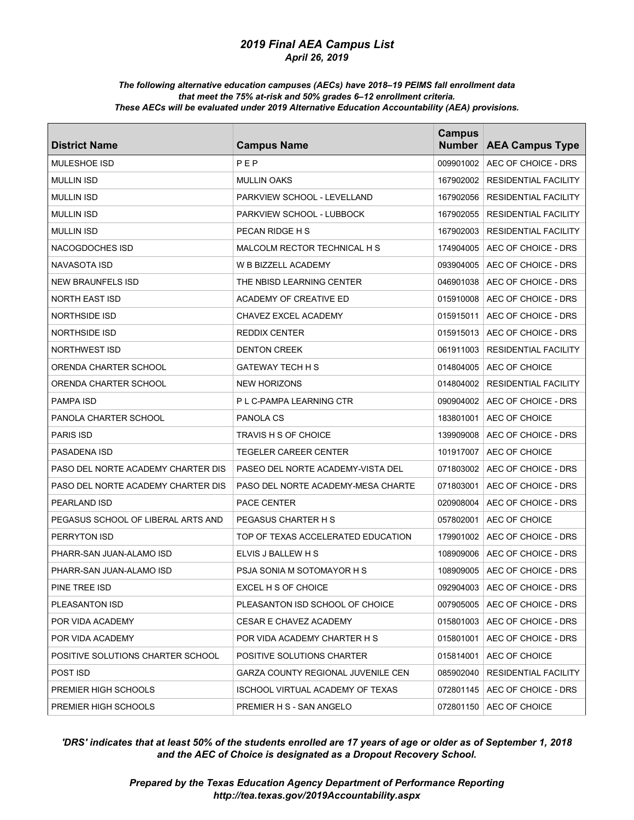#### *The following alternative education campuses (AECs) have 2018–19 PEIMS fall enrollment data that meet the 75% at-risk and 50% grades 6–12 enrollment criteria. These AECs will be evaluated under 2019 Alternative Education Accountability (AEA) provisions.*

| <b>District Name</b>               | <b>Campus Name</b>                 | <b>Campus</b><br><b>Number</b> | <b>AEA Campus Type</b>      |
|------------------------------------|------------------------------------|--------------------------------|-----------------------------|
| MULESHOE ISD                       | PEP                                | 009901002                      | AEC OF CHOICE - DRS         |
| <b>MULLIN ISD</b>                  | <b>MULLIN OAKS</b>                 | 167902002                      | <b>RESIDENTIAL FACILITY</b> |
| <b>MULLIN ISD</b>                  | PARKVIEW SCHOOL - LEVELLAND        | 167902056                      | <b>RESIDENTIAL FACILITY</b> |
| <b>MULLIN ISD</b>                  | PARKVIEW SCHOOL - LUBBOCK          | 167902055                      | <b>RESIDENTIAL FACILITY</b> |
| <b>MULLIN ISD</b>                  | PECAN RIDGE H S                    | 167902003                      | <b>RESIDENTIAL FACILITY</b> |
| <b>NACOGDOCHES ISD</b>             | MALCOLM RECTOR TECHNICAL H S       | 174904005                      | AEC OF CHOICE - DRS         |
| <b>NAVASOTA ISD</b>                | W B BIZZELL ACADEMY                | 093904005                      | AEC OF CHOICE - DRS         |
| <b>NEW BRAUNFELS ISD</b>           | THE NBISD LEARNING CENTER          | 046901038                      | AEC OF CHOICE - DRS         |
| <b>NORTH EAST ISD</b>              | ACADEMY OF CREATIVE ED             | 015910008                      | AEC OF CHOICE - DRS         |
| <b>NORTHSIDE ISD</b>               | CHAVEZ EXCEL ACADEMY               | 015915011                      | AEC OF CHOICE - DRS         |
| <b>NORTHSIDE ISD</b>               | <b>REDDIX CENTER</b>               | 015915013                      | AEC OF CHOICE - DRS         |
| <b>NORTHWEST ISD</b>               | <b>DENTON CREEK</b>                | 061911003                      | <b>RESIDENTIAL FACILITY</b> |
| ORENDA CHARTER SCHOOL              | <b>GATEWAY TECH H S</b>            | 014804005                      | AEC OF CHOICE               |
| ORENDA CHARTER SCHOOL              | <b>NEW HORIZONS</b>                | 014804002                      | <b>RESIDENTIAL FACILITY</b> |
| <b>PAMPA ISD</b>                   | P L C-PAMPA LEARNING CTR           | 090904002                      | AEC OF CHOICE - DRS         |
| PANOLA CHARTER SCHOOL              | PANOLA CS                          | 183801001                      | AEC OF CHOICE               |
| <b>PARIS ISD</b>                   | TRAVIS H S OF CHOICE               | 139909008                      | AEC OF CHOICE - DRS         |
| PASADENA ISD                       | <b>TEGELER CAREER CENTER</b>       | 101917007                      | AEC OF CHOICE               |
| PASO DEL NORTE ACADEMY CHARTER DIS | PASEO DEL NORTE ACADEMY-VISTA DEL  | 071803002                      | AEC OF CHOICE - DRS         |
| PASO DEL NORTE ACADEMY CHARTER DIS | PASO DEL NORTE ACADEMY-MESA CHARTE | 071803001                      | AEC OF CHOICE - DRS         |
| <b>PEARLAND ISD</b>                | <b>PACE CENTER</b>                 | 020908004                      | AEC OF CHOICE - DRS         |
| PEGASUS SCHOOL OF LIBERAL ARTS AND | PEGASUS CHARTER H S                | 057802001                      | AEC OF CHOICE               |
| PERRYTON ISD                       | TOP OF TEXAS ACCELERATED EDUCATION | 179901002                      | AEC OF CHOICE - DRS         |
| PHARR-SAN JUAN-ALAMO ISD           | ELVIS J BALLEW H S                 | 108909006                      | AEC OF CHOICE - DRS         |
| PHARR-SAN JUAN-ALAMO ISD           | PSJA SONIA M SOTOMAYOR H S         | 108909005                      | AEC OF CHOICE - DRS         |
| PINE TREE ISD                      | EXCEL H S OF CHOICE                | 092904003                      | AEC OF CHOICE - DRS         |
| PLEASANTON ISD                     | PLEASANTON ISD SCHOOL OF CHOICE    | 007905005                      | AEC OF CHOICE - DRS         |
| POR VIDA ACADEMY                   | CESAR E CHAVEZ ACADEMY             | 015801003                      | AEC OF CHOICE - DRS         |
| POR VIDA ACADEMY                   | POR VIDA ACADEMY CHARTER H S       | 015801001                      | AEC OF CHOICE - DRS         |
| POSITIVE SOLUTIONS CHARTER SCHOOL  | POSITIVE SOLUTIONS CHARTER         | 015814001                      | AEC OF CHOICE               |
| POST ISD                           | GARZA COUNTY REGIONAL JUVENILE CEN | 085902040                      | RESIDENTIAL FACILITY        |
| PREMIER HIGH SCHOOLS               | ISCHOOL VIRTUAL ACADEMY OF TEXAS   | 072801145                      | AEC OF CHOICE - DRS         |
| PREMIER HIGH SCHOOLS               | PREMIER H S - SAN ANGELO           | 072801150                      | AEC OF CHOICE               |

# *'DRS' indicates that at least 50% of the students enrolled are 17 years of age or older as of September 1, 2018 and the AEC of Choice is designated as a Dropout Recovery School.*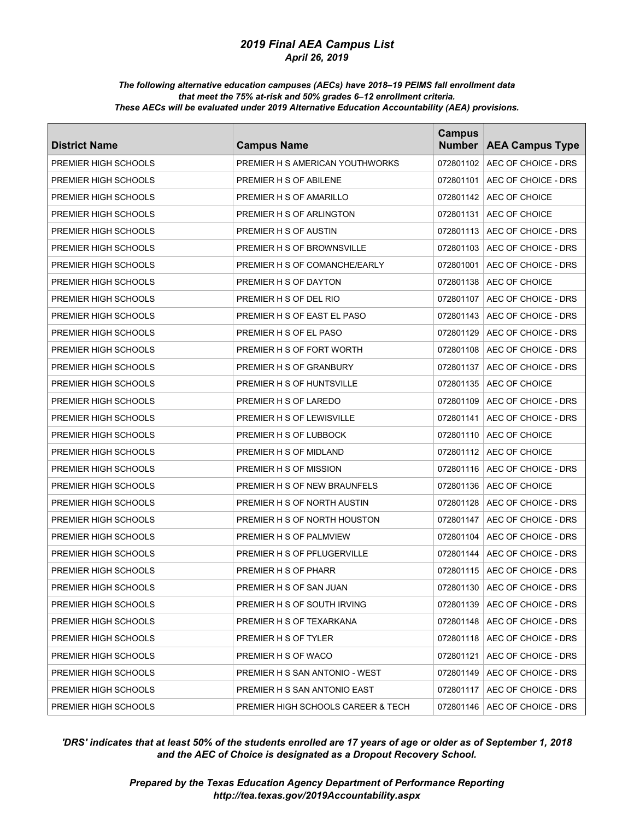#### *The following alternative education campuses (AECs) have 2018–19 PEIMS fall enrollment data that meet the 75% at-risk and 50% grades 6–12 enrollment criteria. These AECs will be evaluated under 2019 Alternative Education Accountability (AEA) provisions.*

| <b>District Name</b> | <b>Campus Name</b>                 | <b>Campus</b><br><b>Number</b> | <b>AEA Campus Type</b> |
|----------------------|------------------------------------|--------------------------------|------------------------|
| PREMIER HIGH SCHOOLS | PREMIER H S AMERICAN YOUTHWORKS    | 072801102                      | AEC OF CHOICE - DRS    |
| PREMIER HIGH SCHOOLS | PREMIER H S OF ABILENE             | 072801101                      | AEC OF CHOICE - DRS    |
| PREMIER HIGH SCHOOLS | PREMIER H S OF AMARILLO            | 072801142                      | AEC OF CHOICE          |
| PREMIER HIGH SCHOOLS | PREMIER H S OF ARLINGTON           | 072801131                      | AEC OF CHOICE          |
| PREMIER HIGH SCHOOLS | PREMIER H S OF AUSTIN              | 072801113                      | AEC OF CHOICE - DRS    |
| PREMIER HIGH SCHOOLS | PREMIER H S OF BROWNSVILLE         | 072801103                      | AEC OF CHOICE - DRS    |
| PREMIER HIGH SCHOOLS | PREMIER H S OF COMANCHE/EARLY      | 072801001                      | AEC OF CHOICE - DRS    |
| PREMIER HIGH SCHOOLS | PREMIER H S OF DAYTON              | 072801138                      | AEC OF CHOICE          |
| PREMIER HIGH SCHOOLS | PREMIER H S OF DEL RIO             | 072801107                      | AEC OF CHOICE - DRS    |
| PREMIER HIGH SCHOOLS | PREMIER H S OF EAST EL PASO        | 072801143                      | AEC OF CHOICE - DRS    |
| PREMIER HIGH SCHOOLS | PREMIER H S OF EL PASO             | 072801129                      | AEC OF CHOICE - DRS    |
| PREMIER HIGH SCHOOLS | PREMIER H S OF FORT WORTH          | 072801108                      | AEC OF CHOICE - DRS    |
| PREMIER HIGH SCHOOLS | PREMIER H S OF GRANBURY            | 072801137                      | AEC OF CHOICE - DRS    |
| PREMIER HIGH SCHOOLS | PREMIER H S OF HUNTSVILLE          | 072801135                      | AEC OF CHOICE          |
| PREMIER HIGH SCHOOLS | PREMIER H S OF LAREDO              | 072801109                      | AEC OF CHOICE - DRS    |
| PREMIER HIGH SCHOOLS | PREMIER H S OF LEWISVILLE          | 072801141                      | AEC OF CHOICE - DRS    |
| PREMIER HIGH SCHOOLS | PREMIER H S OF LUBBOCK             | 072801110                      | AEC OF CHOICE          |
| PREMIER HIGH SCHOOLS | PREMIER H S OF MIDLAND             | 072801112                      | AEC OF CHOICE          |
| PREMIER HIGH SCHOOLS | PREMIER H S OF MISSION             | 072801116                      | AEC OF CHOICE - DRS    |
| PREMIER HIGH SCHOOLS | PREMIER H S OF NEW BRAUNFELS       | 072801136                      | AEC OF CHOICE          |
| PREMIER HIGH SCHOOLS | PREMIER H S OF NORTH AUSTIN        | 072801128                      | AEC OF CHOICE - DRS    |
| PREMIER HIGH SCHOOLS | PREMIER H S OF NORTH HOUSTON       | 072801147                      | AEC OF CHOICE - DRS    |
| PREMIER HIGH SCHOOLS | PREMIER H S OF PALMVIEW            | 072801104                      | AEC OF CHOICE - DRS    |
| PREMIER HIGH SCHOOLS | PREMIER H S OF PFLUGERVILLE        | 072801144                      | AEC OF CHOICE - DRS    |
| PREMIER HIGH SCHOOLS | PREMIER H S OF PHARR               | 072801115                      | AEC OF CHOICE - DRS    |
| PREMIER HIGH SCHOOLS | PREMIER H S OF SAN JUAN            | 072801130                      | AEC OF CHOICE - DRS    |
| PREMIER HIGH SCHOOLS | PREMIER H S OF SOUTH IRVING        | 072801139                      | AEC OF CHOICE - DRS    |
| PREMIER HIGH SCHOOLS | PREMIER H S OF TEXARKANA           | 072801148                      | AEC OF CHOICE - DRS    |
| PREMIER HIGH SCHOOLS | PREMIER H S OF TYLER               | 072801118                      | AEC OF CHOICE - DRS    |
| PREMIER HIGH SCHOOLS | PREMIER H S OF WACO                | 072801121                      | AEC OF CHOICE - DRS    |
| PREMIER HIGH SCHOOLS | PREMIER H S SAN ANTONIO - WEST     | 072801149                      | AEC OF CHOICE - DRS    |
| PREMIER HIGH SCHOOLS | PREMIER H S SAN ANTONIO EAST       | 072801117                      | AEC OF CHOICE - DRS    |
| PREMIER HIGH SCHOOLS | PREMIER HIGH SCHOOLS CAREER & TECH | 072801146                      | AEC OF CHOICE - DRS    |

# *'DRS' indicates that at least 50% of the students enrolled are 17 years of age or older as of September 1, 2018 and the AEC of Choice is designated as a Dropout Recovery School.*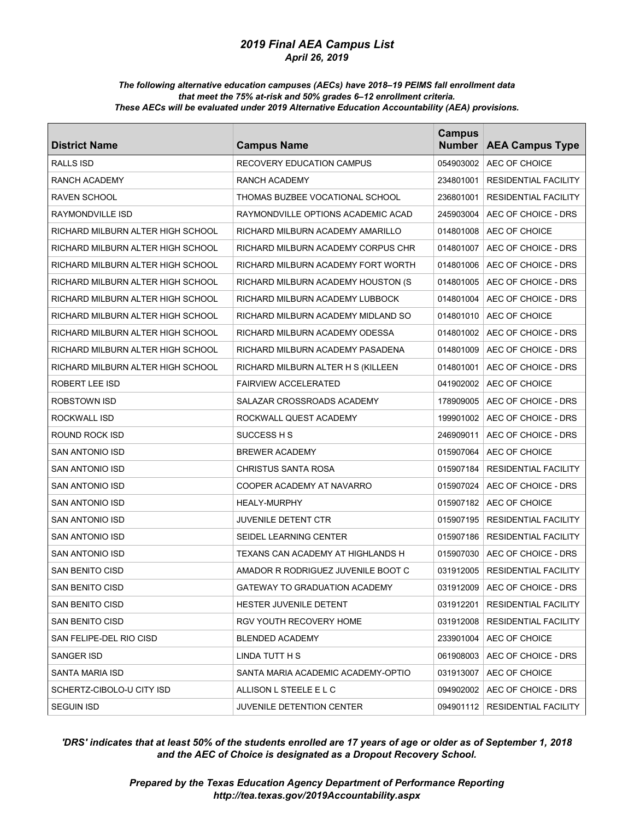#### *The following alternative education campuses (AECs) have 2018–19 PEIMS fall enrollment data that meet the 75% at-risk and 50% grades 6–12 enrollment criteria. These AECs will be evaluated under 2019 Alternative Education Accountability (AEA) provisions.*

| <b>District Name</b>              | <b>Campus Name</b>                 | <b>Campus</b><br><b>Number</b> | <b>AEA Campus Type</b>      |
|-----------------------------------|------------------------------------|--------------------------------|-----------------------------|
| <b>RALLS ISD</b>                  | <b>RECOVERY EDUCATION CAMPUS</b>   | 054903002                      | AEC OF CHOICE               |
| RANCH ACADEMY                     | RANCH ACADEMY                      | 234801001                      | <b>RESIDENTIAL FACILITY</b> |
| RAVEN SCHOOL                      | THOMAS BUZBEE VOCATIONAL SCHOOL    | 236801001                      | <b>RESIDENTIAL FACILITY</b> |
| RAYMONDVILLE ISD                  | RAYMONDVILLE OPTIONS ACADEMIC ACAD | 245903004                      | AEC OF CHOICE - DRS         |
| RICHARD MILBURN ALTER HIGH SCHOOL | RICHARD MILBURN ACADEMY AMARILLO   | 014801008                      | AEC OF CHOICE               |
| RICHARD MILBURN ALTER HIGH SCHOOL | RICHARD MILBURN ACADEMY CORPUS CHR | 014801007                      | AEC OF CHOICE - DRS         |
| RICHARD MILBURN ALTER HIGH SCHOOL | RICHARD MILBURN ACADEMY FORT WORTH | 014801006                      | AEC OF CHOICE - DRS         |
| RICHARD MILBURN ALTER HIGH SCHOOL | RICHARD MILBURN ACADEMY HOUSTON (S | 014801005                      | AEC OF CHOICE - DRS         |
| RICHARD MILBURN ALTER HIGH SCHOOL | RICHARD MILBURN ACADEMY LUBBOCK    | 014801004                      | AEC OF CHOICE - DRS         |
| RICHARD MILBURN ALTER HIGH SCHOOL | RICHARD MILBURN ACADEMY MIDLAND SO | 014801010                      | AEC OF CHOICE               |
| RICHARD MILBURN ALTER HIGH SCHOOL | RICHARD MILBURN ACADEMY ODESSA     | 014801002                      | AEC OF CHOICE - DRS         |
| RICHARD MILBURN ALTER HIGH SCHOOL | RICHARD MILBURN ACADEMY PASADENA   | 014801009                      | AEC OF CHOICE - DRS         |
| RICHARD MILBURN ALTER HIGH SCHOOL | RICHARD MILBURN ALTER H S (KILLEEN | 014801001                      | AEC OF CHOICE - DRS         |
| ROBERT LEE ISD                    | <b>FAIRVIEW ACCELERATED</b>        | 041902002                      | AEC OF CHOICE               |
| ROBSTOWN ISD                      | SALAZAR CROSSROADS ACADEMY         | 178909005                      | AEC OF CHOICE - DRS         |
| <b>ROCKWALL ISD</b>               | ROCKWALL QUEST ACADEMY             | 199901002                      | AEC OF CHOICE - DRS         |
| ROUND ROCK ISD                    | SUCCESS H S                        | 246909011                      | AEC OF CHOICE - DRS         |
| SAN ANTONIO ISD                   | <b>BREWER ACADEMY</b>              | 015907064                      | AEC OF CHOICE               |
| SAN ANTONIO ISD                   | <b>CHRISTUS SANTA ROSA</b>         | 015907184                      | <b>RESIDENTIAL FACILITY</b> |
| SAN ANTONIO ISD                   | COOPER ACADEMY AT NAVARRO          | 015907024                      | AEC OF CHOICE - DRS         |
| SAN ANTONIO ISD                   | <b>HEALY-MURPHY</b>                | 015907182                      | AEC OF CHOICE               |
| SAN ANTONIO ISD                   | JUVENILE DETENT CTR                | 015907195                      | <b>RESIDENTIAL FACILITY</b> |
| SAN ANTONIO ISD                   | SEIDEL LEARNING CENTER             | 015907186                      | <b>RESIDENTIAL FACILITY</b> |
| SAN ANTONIO ISD                   | TEXANS CAN ACADEMY AT HIGHLANDS H  | 015907030                      | AEC OF CHOICE - DRS         |
| SAN BENITO CISD                   | AMADOR R RODRIGUEZ JUVENILE BOOT C | 031912005                      | <b>RESIDENTIAL FACILITY</b> |
| SAN BENITO CISD                   | GATEWAY TO GRADUATION ACADEMY      | 031912009                      | AEC OF CHOICE - DRS         |
| SAN BENITO CISD                   | HESTER JUVENILE DETENT             | 031912201                      | RESIDENTIAL FACILITY        |
| SAN BENITO CISD                   | RGV YOUTH RECOVERY HOME            | 031912008                      | RESIDENTIAL FACILITY        |
| SAN FELIPE-DEL RIO CISD           | <b>BLENDED ACADEMY</b>             | 233901004                      | AEC OF CHOICE               |
| SANGER ISD                        | LINDA TUTT H S                     | 061908003                      | AEC OF CHOICE - DRS         |
| SANTA MARIA ISD                   | SANTA MARIA ACADEMIC ACADEMY-OPTIO | 031913007                      | AEC OF CHOICE               |
| SCHERTZ-CIBOLO-U CITY ISD         | ALLISON L STEELE E L C             | 094902002                      | AEC OF CHOICE - DRS         |
| <b>SEGUIN ISD</b>                 | JUVENILE DETENTION CENTER          | 094901112                      | RESIDENTIAL FACILITY        |

# *'DRS' indicates that at least 50% of the students enrolled are 17 years of age or older as of September 1, 2018 and the AEC of Choice is designated as a Dropout Recovery School.*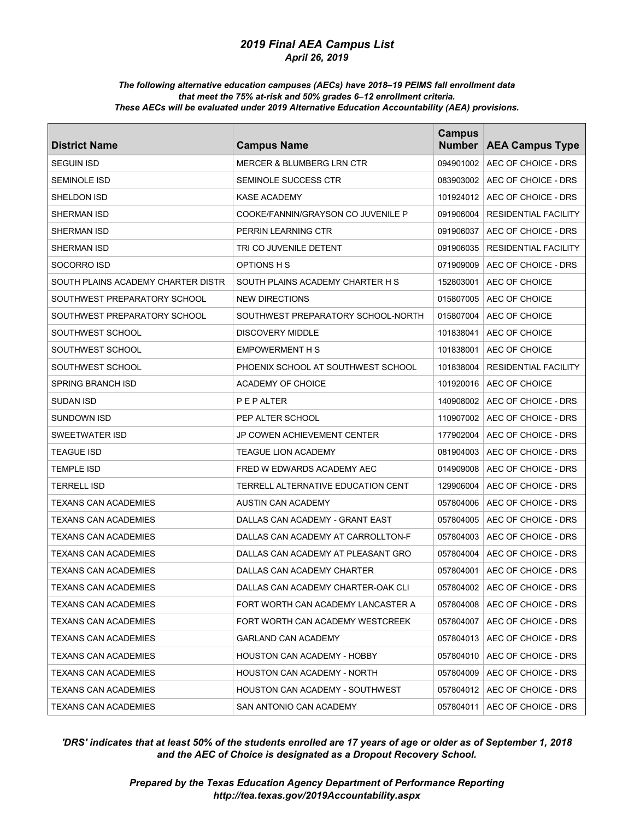#### *The following alternative education campuses (AECs) have 2018–19 PEIMS fall enrollment data that meet the 75% at-risk and 50% grades 6–12 enrollment criteria. These AECs will be evaluated under 2019 Alternative Education Accountability (AEA) provisions.*

| <b>District Name</b>               | <b>Campus Name</b>                   | <b>Campus</b><br><b>Number</b> | <b>AEA Campus Type</b>          |
|------------------------------------|--------------------------------------|--------------------------------|---------------------------------|
| <b>SEGUIN ISD</b>                  | <b>MERCER &amp; BLUMBERG LRN CTR</b> | 094901002                      | AEC OF CHOICE - DRS             |
| <b>SEMINOLE ISD</b>                | SEMINOLE SUCCESS CTR                 | 083903002                      | AEC OF CHOICE - DRS             |
| SHELDON ISD                        | <b>KASE ACADEMY</b>                  | 101924012                      | AEC OF CHOICE - DRS             |
| SHERMAN ISD                        | COOKE/FANNIN/GRAYSON CO JUVENILE P   | 091906004                      | <b>RESIDENTIAL FACILITY</b>     |
| SHERMAN ISD                        | PERRIN LEARNING CTR                  | 091906037                      | AEC OF CHOICE - DRS             |
| SHERMAN ISD                        | TRI CO JUVENILE DETENT               | 091906035                      | <b>RESIDENTIAL FACILITY</b>     |
| SOCORRO ISD                        | OPTIONS H S                          | 071909009                      | AEC OF CHOICE - DRS             |
| SOUTH PLAINS ACADEMY CHARTER DISTR | SOUTH PLAINS ACADEMY CHARTER H S     | 152803001                      | AEC OF CHOICE                   |
| SOUTHWEST PREPARATORY SCHOOL       | <b>NEW DIRECTIONS</b>                | 015807005                      | AEC OF CHOICE                   |
| SOUTHWEST PREPARATORY SCHOOL       | SOUTHWEST PREPARATORY SCHOOL-NORTH   | 015807004                      | AEC OF CHOICE                   |
| SOUTHWEST SCHOOL                   | <b>DISCOVERY MIDDLE</b>              | 101838041                      | AEC OF CHOICE                   |
| SOUTHWEST SCHOOL                   | <b>EMPOWERMENT H S</b>               | 101838001                      | AEC OF CHOICE                   |
| SOUTHWEST SCHOOL                   | PHOENIX SCHOOL AT SOUTHWEST SCHOOL   | 101838004                      | RESIDENTIAL FACILITY            |
| SPRING BRANCH ISD                  | ACADEMY OF CHOICE                    | 101920016                      | AEC OF CHOICE                   |
| SUDAN ISD                          | PEPALTER                             | 140908002                      | AEC OF CHOICE - DRS             |
| <b>SUNDOWN ISD</b>                 | PEP ALTER SCHOOL                     | 110907002                      | AEC OF CHOICE - DRS             |
| <b>SWEETWATER ISD</b>              | JP COWEN ACHIEVEMENT CENTER          | 177902004                      | AEC OF CHOICE - DRS             |
| <b>TEAGUE ISD</b>                  | <b>TEAGUE LION ACADEMY</b>           | 081904003                      | AEC OF CHOICE - DRS             |
| TEMPLE ISD                         | FRED W EDWARDS ACADEMY AEC           | 014909008                      | AEC OF CHOICE - DRS             |
| TERRELL ISD                        | TERRELL ALTERNATIVE EDUCATION CENT   | 129906004                      | AEC OF CHOICE - DRS             |
| TEXANS CAN ACADEMIES               | AUSTIN CAN ACADEMY                   | 057804006                      | AEC OF CHOICE - DRS             |
| TEXANS CAN ACADEMIES               | DALLAS CAN ACADEMY - GRANT EAST      | 057804005                      | AEC OF CHOICE - DRS             |
| TEXANS CAN ACADEMIES               | DALLAS CAN ACADEMY AT CARROLLTON-F   | 057804003                      | AEC OF CHOICE - DRS             |
| TEXANS CAN ACADEMIES               | DALLAS CAN ACADEMY AT PLEASANT GRO   | 057804004                      | AEC OF CHOICE - DRS             |
| <b>TEXANS CAN ACADEMIES</b>        | DALLAS CAN ACADEMY CHARTER           | 057804001                      | AEC OF CHOICE - DRS             |
| <b>TEXANS CAN ACADEMIES</b>        | DALLAS CAN ACADEMY CHARTER-OAK CLI   | 057804002                      | AEC OF CHOICE - DRS             |
| <b>TEXANS CAN ACADEMIES</b>        | FORT WORTH CAN ACADEMY LANCASTER A   |                                | 057804008   AEC OF CHOICE - DRS |
| <b>TEXANS CAN ACADEMIES</b>        | FORT WORTH CAN ACADEMY WESTCREEK     | 057804007                      | AEC OF CHOICE - DRS             |
| <b>TEXANS CAN ACADEMIES</b>        | GARLAND CAN ACADEMY                  | 057804013                      | AEC OF CHOICE - DRS             |
| TEXANS CAN ACADEMIES               | HOUSTON CAN ACADEMY - HOBBY          | 057804010                      | AEC OF CHOICE - DRS             |
| TEXANS CAN ACADEMIES               | HOUSTON CAN ACADEMY - NORTH          | 057804009                      | AEC OF CHOICE - DRS             |
| TEXANS CAN ACADEMIES               | HOUSTON CAN ACADEMY - SOUTHWEST      | 057804012                      | AEC OF CHOICE - DRS             |
| TEXANS CAN ACADEMIES               | SAN ANTONIO CAN ACADEMY              | 057804011                      | AEC OF CHOICE - DRS             |

# *'DRS' indicates that at least 50% of the students enrolled are 17 years of age or older as of September 1, 2018 and the AEC of Choice is designated as a Dropout Recovery School.*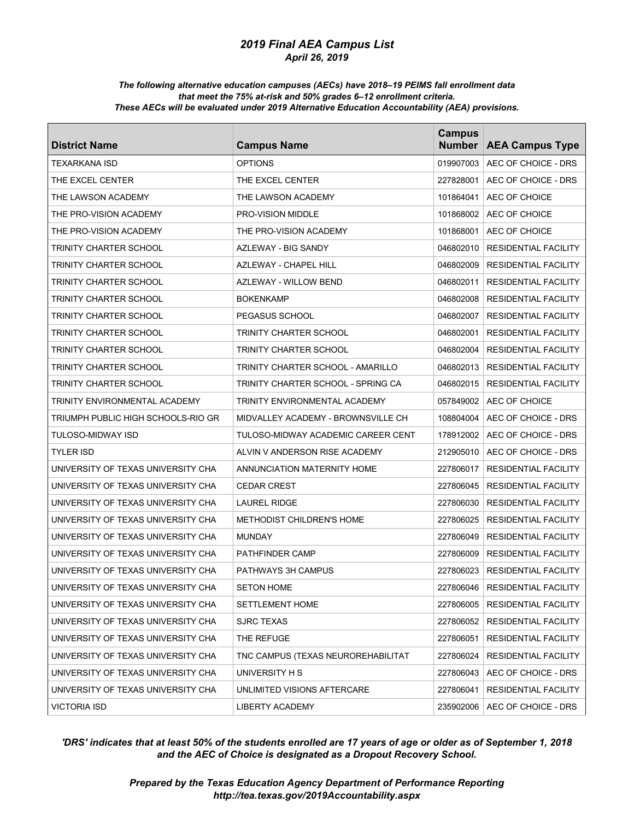#### *The following alternative education campuses (AECs) have 2018–19 PEIMS fall enrollment data that meet the 75% at-risk and 50% grades 6–12 enrollment criteria. These AECs will be evaluated under 2019 Alternative Education Accountability (AEA) provisions.*

| <b>District Name</b>               | <b>Campus Name</b>                 | <b>Campus</b><br><b>Number</b> | <b>AEA Campus Type</b>          |
|------------------------------------|------------------------------------|--------------------------------|---------------------------------|
| <b>TEXARKANA ISD</b>               | <b>OPTIONS</b>                     | 019907003                      | AEC OF CHOICE - DRS             |
| THE EXCEL CENTER                   | THE EXCEL CENTER                   | 227828001                      | AEC OF CHOICE - DRS             |
| THE LAWSON ACADEMY                 | THE LAWSON ACADEMY                 | 101864041                      | AEC OF CHOICE                   |
| THE PRO-VISION ACADEMY             | <b>PRO-VISION MIDDLE</b>           | 101868002                      | AEC OF CHOICE                   |
| THE PRO-VISION ACADEMY             | THE PRO-VISION ACADEMY             | 101868001                      | AEC OF CHOICE                   |
| TRINITY CHARTER SCHOOL             | AZLEWAY - BIG SANDY                | 046802010                      | <b>RESIDENTIAL FACILITY</b>     |
| TRINITY CHARTER SCHOOL             | <b>AZLEWAY - CHAPEL HILL</b>       | 046802009                      | <b>RESIDENTIAL FACILITY</b>     |
| TRINITY CHARTER SCHOOL             | AZLEWAY - WILLOW BEND              | 046802011                      | <b>RESIDENTIAL FACILITY</b>     |
| TRINITY CHARTER SCHOOL             | <b>BOKENKAMP</b>                   | 046802008                      | <b>RESIDENTIAL FACILITY</b>     |
| TRINITY CHARTER SCHOOL             | PEGASUS SCHOOL                     | 046802007                      | <b>RESIDENTIAL FACILITY</b>     |
| TRINITY CHARTER SCHOOL             | TRINITY CHARTER SCHOOL             | 046802001                      | <b>RESIDENTIAL FACILITY</b>     |
| TRINITY CHARTER SCHOOL             | TRINITY CHARTER SCHOOL             | 046802004                      | <b>RESIDENTIAL FACILITY</b>     |
| TRINITY CHARTER SCHOOL             | TRINITY CHARTER SCHOOL - AMARILLO  | 046802013                      | <b>RESIDENTIAL FACILITY</b>     |
| TRINITY CHARTER SCHOOL             | TRINITY CHARTER SCHOOL - SPRING CA | 046802015                      | <b>RESIDENTIAL FACILITY</b>     |
| TRINITY ENVIRONMENTAL ACADEMY      | TRINITY ENVIRONMENTAL ACADEMY      | 057849002                      | AEC OF CHOICE                   |
| TRIUMPH PUBLIC HIGH SCHOOLS-RIO GR | MIDVALLEY ACADEMY - BROWNSVILLE CH | 108804004                      | AEC OF CHOICE - DRS             |
| TULOSO-MIDWAY ISD                  | TULOSO-MIDWAY ACADEMIC CAREER CENT | 178912002                      | AEC OF CHOICE - DRS             |
| TYLER ISD                          | ALVIN V ANDERSON RISE ACADEMY      | 212905010                      | AEC OF CHOICE - DRS             |
| UNIVERSITY OF TEXAS UNIVERSITY CHA | ANNUNCIATION MATERNITY HOME        | 227806017                      | <b>RESIDENTIAL FACILITY</b>     |
| UNIVERSITY OF TEXAS UNIVERSITY CHA | <b>CEDAR CREST</b>                 | 227806045                      | <b>RESIDENTIAL FACILITY</b>     |
| UNIVERSITY OF TEXAS UNIVERSITY CHA | <b>LAUREL RIDGE</b>                | 227806030                      | <b>RESIDENTIAL FACILITY</b>     |
| UNIVERSITY OF TEXAS UNIVERSITY CHA | <b>METHODIST CHILDREN'S HOME</b>   | 227806025                      | <b>RESIDENTIAL FACILITY</b>     |
| UNIVERSITY OF TEXAS UNIVERSITY CHA | <b>MUNDAY</b>                      | 227806049                      | <b>RESIDENTIAL FACILITY</b>     |
| UNIVERSITY OF TEXAS UNIVERSITY CHA | PATHFINDER CAMP                    | 227806009                      | <b>RESIDENTIAL FACILITY</b>     |
| UNIVERSITY OF TEXAS UNIVERSITY CHA | <b>PATHWAYS 3H CAMPUS</b>          | 227806023                      | <b>RESIDENTIAL FACILITY</b>     |
| UNIVERSITY OF TEXAS UNIVERSITY CHA | <b>SETON HOME</b>                  | 227806046                      | RESIDENTIAL FACILITY            |
| UNIVERSITY OF TEXAS UNIVERSITY CHA | SETTLEMENT HOME                    | 227806005                      | <b>RESIDENTIAL FACILITY</b>     |
| UNIVERSITY OF TEXAS UNIVERSITY CHA | SJRC TEXAS                         | 227806052                      | <b>RESIDENTIAL FACILITY</b>     |
| UNIVERSITY OF TEXAS UNIVERSITY CHA | THE REFUGE                         | 227806051                      | <b>RESIDENTIAL FACILITY</b>     |
| UNIVERSITY OF TEXAS UNIVERSITY CHA | TNC CAMPUS (TEXAS NEUROREHABILITAT | 227806024                      | <b>RESIDENTIAL FACILITY</b>     |
| UNIVERSITY OF TEXAS UNIVERSITY CHA | UNIVERSITY H S                     |                                | 227806043   AEC OF CHOICE - DRS |
| UNIVERSITY OF TEXAS UNIVERSITY CHA | UNLIMITED VISIONS AFTERCARE        | 227806041                      | RESIDENTIAL FACILITY            |
| <b>VICTORIA ISD</b>                | <b>LIBERTY ACADEMY</b>             |                                | 235902006   AEC OF CHOICE - DRS |

# *'DRS' indicates that at least 50% of the students enrolled are 17 years of age or older as of September 1, 2018 and the AEC of Choice is designated as a Dropout Recovery School.*